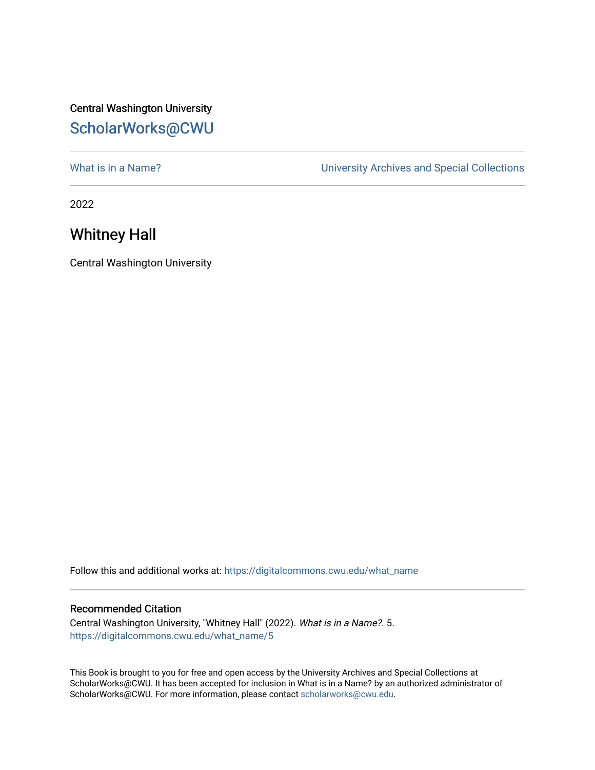## Central Washington University [ScholarWorks@CWU](https://digitalcommons.cwu.edu/)

[What is in a Name?](https://digitalcommons.cwu.edu/what_name) **What is in a Name?** University Archives and Special Collections

2022

## Whitney Hall

Central Washington University

Follow this and additional works at: [https://digitalcommons.cwu.edu/what\\_name](https://digitalcommons.cwu.edu/what_name?utm_source=digitalcommons.cwu.edu%2Fwhat_name%2F5&utm_medium=PDF&utm_campaign=PDFCoverPages) 

## Recommended Citation

Central Washington University, "Whitney Hall" (2022). What is in a Name?. 5. [https://digitalcommons.cwu.edu/what\\_name/5](https://digitalcommons.cwu.edu/what_name/5?utm_source=digitalcommons.cwu.edu%2Fwhat_name%2F5&utm_medium=PDF&utm_campaign=PDFCoverPages) 

This Book is brought to you for free and open access by the University Archives and Special Collections at ScholarWorks@CWU. It has been accepted for inclusion in What is in a Name? by an authorized administrator of ScholarWorks@CWU. For more information, please contact [scholarworks@cwu.edu](mailto:scholarworks@cwu.edu).